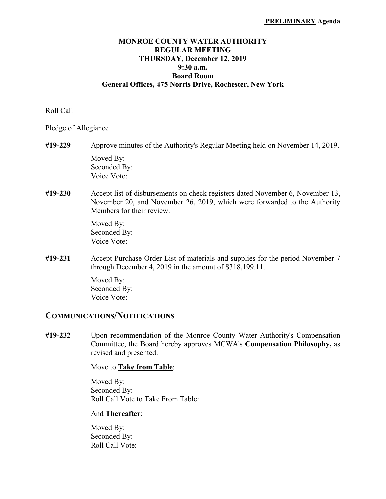# **MONROE COUNTY WATER AUTHORITY REGULAR MEETING THURSDAY, December 12, 2019 9:30 a.m. Board Room General Offices, 475 Norris Drive, Rochester, New York**

### Roll Call

Pledge of Allegiance

- **#19-229** Approve minutes of the Authority's Regular Meeting held on November 14, 2019. Moved By: Seconded By: Voice Vote:
- **#19-230** Accept list of disbursements on check registers dated November 6, November 13, November 20, and November 26, 2019, which were forwarded to the Authority Members for their review.

 Moved By: Seconded By: Voice Vote:

**#19-231** Accept Purchase Order List of materials and supplies for the period November 7 through December 4, 2019 in the amount of \$318,199.11.

> Moved By: Seconded By: Voice Vote:

# **COMMUNICATIONS/NOTIFICATIONS**

**#19-232** Upon recommendation of the Monroe County Water Authority's Compensation Committee, the Board hereby approves MCWA's **Compensation Philosophy,** as revised and presented.

Move to **Take from Table**:

 Moved By: Seconded By: Roll Call Vote to Take From Table:

#### And **Thereafter**: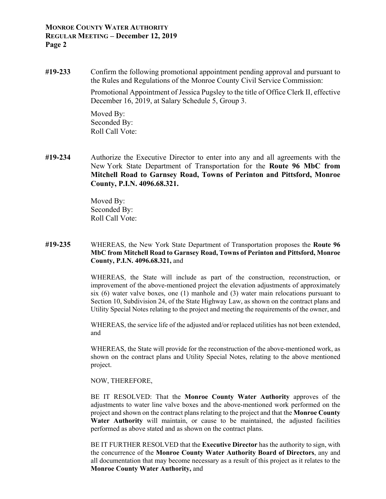**#19-233** Confirm the following promotional appointment pending approval and pursuant to the Rules and Regulations of the Monroe County Civil Service Commission:

> Promotional Appointment of Jessica Pugsley to the title of Office Clerk II, effective December 16, 2019, at Salary Schedule 5, Group 3.

 Moved By: Seconded By: Roll Call Vote:

**#19-234** Authorize the Executive Director to enter into any and all agreements with the New York State Department of Transportation for the **Route 96 MbC from Mitchell Road to Garnsey Road, Towns of Perinton and Pittsford, Monroe County, P.I.N. 4096.68.321.** 

> Moved By: Seconded By: Roll Call Vote:

**#19-235** WHEREAS, the New York State Department of Transportation proposes the **Route 96 MbC from Mitchell Road to Garnsey Road, Towns of Perinton and Pittsford, Monroe County, P.I.N. 4096.68.321,** and

> WHEREAS, the State will include as part of the construction, reconstruction, or improvement of the above-mentioned project the elevation adjustments of approximately six (6) water valve boxes, one (1) manhole and (3) water main relocations pursuant to Section 10, Subdivision 24, of the State Highway Law, as shown on the contract plans and Utility Special Notes relating to the project and meeting the requirements of the owner, and

> WHEREAS, the service life of the adjusted and/or replaced utilities has not been extended, and

> WHEREAS, the State will provide for the reconstruction of the above-mentioned work, as shown on the contract plans and Utility Special Notes, relating to the above mentioned project.

#### NOW, THEREFORE,

BE IT RESOLVED: That the **Monroe County Water Authority** approves of the adjustments to water line valve boxes and the above-mentioned work performed on the project and shown on the contract plans relating to the project and that the **Monroe County Water Authority** will maintain, or cause to be maintained, the adjusted facilities performed as above stated and as shown on the contract plans.

 BE IT FURTHER RESOLVED that the **Executive Director** has the authority to sign, with the concurrence of the **Monroe County Water Authority Board of Directors**, any and all documentation that may become necessary as a result of this project as it relates to the **Monroe County Water Authority,** and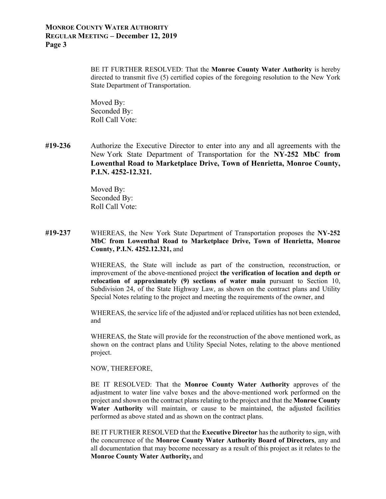BE IT FURTHER RESOLVED: That the **Monroe County Water Authority** is hereby directed to transmit five (5) certified copies of the foregoing resolution to the New York State Department of Transportation.

Moved By: Seconded By: Roll Call Vote:

**#19-236** Authorize the Executive Director to enter into any and all agreements with the New York State Department of Transportation for the **NY-252 MbC from Lowenthal Road to Marketplace Drive, Town of Henrietta, Monroe County, P.I.N. 4252-12.321.** 

> Moved By: Seconded By: Roll Call Vote:

### **#19-237** WHEREAS, the New York State Department of Transportation proposes the **NY-252 MbC from Lowenthal Road to Marketplace Drive, Town of Henrietta, Monroe County, P.I.N. 4252.12.321,** and

WHEREAS, the State will include as part of the construction, reconstruction, or improvement of the above-mentioned project **the verification of location and depth or relocation of approximately (9) sections of water main** pursuant to Section 10, Subdivision 24, of the State Highway Law, as shown on the contract plans and Utility Special Notes relating to the project and meeting the requirements of the owner, and

WHEREAS, the service life of the adjusted and/or replaced utilities has not been extended, and

WHEREAS, the State will provide for the reconstruction of the above mentioned work, as shown on the contract plans and Utility Special Notes, relating to the above mentioned project.

NOW, THEREFORE,

BE IT RESOLVED: That the **Monroe County Water Authority** approves of the adjustment to water line valve boxes and the above-mentioned work performed on the project and shown on the contract plans relating to the project and that the **Monroe County Water Authority** will maintain, or cause to be maintained, the adjusted facilities performed as above stated and as shown on the contract plans.

 BE IT FURTHER RESOLVED that the **Executive Director** has the authority to sign, with the concurrence of the **Monroe County Water Authority Board of Directors**, any and all documentation that may become necessary as a result of this project as it relates to the **Monroe County Water Authority,** and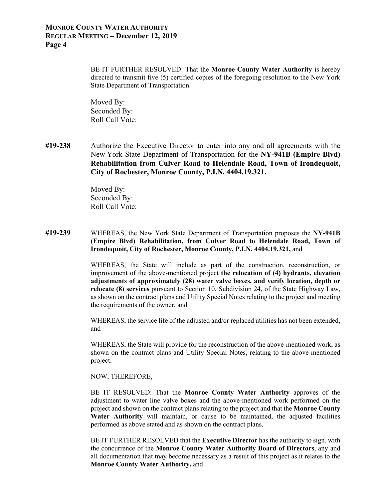BE IT FURTHER RESOLVED: That the **Monroe County Water Authority** is hereby directed to transmit five (5) certified copies of the foregoing resolution to the New York State Department of Transportation.

 Moved By: Seconded By: Roll Call Vote:

**#19-238** Authorize the Executive Director to enter into any and all agreements with the New York State Department of Transportation for the **NY-941B (Empire Blvd) Rehabilitation from Culver Road to Helendale Road, Town of Irondequoit, City of Rochester, Monroe County, P.I.N. 4404.19.321.** 

> Moved By: Seconded By: Roll Call Vote:

**#19-239** WHEREAS, the New York State Department of Transportation proposes the **NY-941B (Empire Blvd) Rehabilitation, from Culver Road to Helendale Road, Town of Irondequoit, City of Rochester, Monroe County, P.I.N. 4404.19.321,** and

> WHEREAS, the State will include as part of the construction, reconstruction, or improvement of the above-mentioned project **the relocation of (4) hydrants, elevation adjustments of approximately (28) water valve boxes, and verify location, depth or relocate (8) services** pursuant to Section 10, Subdivision 24, of the State Highway Law, as shown on the contract plans and Utility Special Notes relating to the project and meeting the requirements of the owner, and

> WHEREAS, the service life of the adjusted and/or replaced utilities has not been extended, and

> WHEREAS, the State will provide for the reconstruction of the above-mentioned work, as shown on the contract plans and Utility Special Notes, relating to the above-mentioned project.

NOW, THEREFORE,

BE IT RESOLVED: That the **Monroe County Water Authority** approves of the adjustment to water line valve boxes and the above-mentioned work performed on the project and shown on the contract plans relating to the project and that the **Monroe County Water Authority** will maintain, or cause to be maintained, the adjusted facilities performed as above stated and as shown on the contract plans.

 BE IT FURTHER RESOLVED that the **Executive Director** has the authority to sign, with the concurrence of the **Monroe County Water Authority Board of Directors**, any and all documentation that may become necessary as a result of this project as it relates to the **Monroe County Water Authority,** and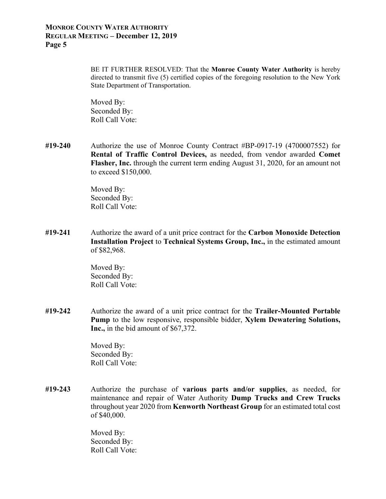BE IT FURTHER RESOLVED: That the **Monroe County Water Authority** is hereby directed to transmit five (5) certified copies of the foregoing resolution to the New York State Department of Transportation.

Moved By: Seconded By: Roll Call Vote:

**#19-240** Authorize the use of Monroe County Contract #BP-0917-19 (4700007552) for **Rental of Traffic Control Devices,** as needed, from vendor awarded **Comet Flasher, Inc.** through the current term ending August 31, 2020, for an amount not to exceed \$150,000.

> Moved By: Seconded By: Roll Call Vote:

**#19-241** Authorize the award of a unit price contract for the **Carbon Monoxide Detection Installation Project** to **Technical Systems Group, Inc.,** in the estimated amount of \$82,968.

> Moved By: Seconded By: Roll Call Vote:

**#19-242** Authorize the award of a unit price contract for the **Trailer-Mounted Portable Pump** to the low responsive, responsible bidder, **Xylem Dewatering Solutions, Inc.,** in the bid amount of \$67,372.

> Moved By: Seconded By: Roll Call Vote:

**#19-243** Authorize the purchase of **various parts and/or supplies**, as needed, for maintenance and repair of Water Authority **Dump Trucks and Crew Trucks** throughout year 2020 from **Kenworth Northeast Group** for an estimated total cost of \$40,000.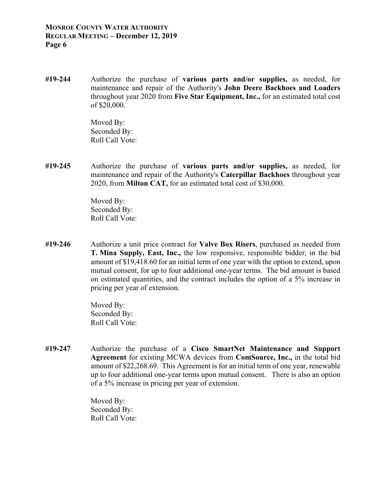**#19-244** Authorize the purchase of **various parts and/or supplies,** as needed, for maintenance and repair of the Authority's **John Deere Backhoes and Loaders** throughout year 2020 from **Five Star Equipment, Inc.,** for an estimated total cost of \$20,000.

> Moved By: Seconded By: Roll Call Vote:

**#19-245** Authorize the purchase of **various parts and/or supplies,** as needed, for maintenance and repair of the Authority's **Caterpillar Backhoes** throughout year 2020, from **Milton CAT,** for an estimated total cost of \$30,000.

> Moved By: Seconded By: Roll Call Vote:

**#19-246** Authorize a unit price contract for **Valve Box Risers**, purchased as needed from **T. Mina Supply, East, Inc.,** the low responsive, responsible bidder, in the bid amount of \$19,418.60 for an initial term of one year with the option to extend, upon mutual consent, for up to four additional one-year terms. The bid amount is based on estimated quantities, and the contract includes the option of a 5% increase in pricing per year of extension.

> Moved By: Seconded By: Roll Call Vote:

**#19-247** Authorize the purchase of a **Cisco SmartNet Maintenance and Support Agreement** for existing MCWA devices from **ComSource, Inc.,** in the total bid amount of \$22,268.69. This Agreement is for an initial term of one year, renewable up to four additional one-year terms upon mutual consent. There is also an option of a 5% increase in pricing per year of extension.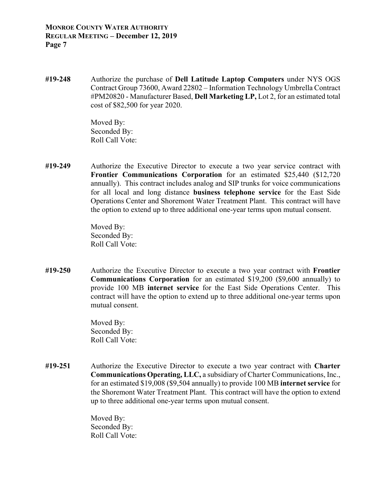**#19-248** Authorize the purchase of **Dell Latitude Laptop Computers** under NYS OGS Contract Group 73600, Award 22802 – Information Technology Umbrella Contract #PM20820 - Manufacturer Based, **Dell Marketing LP,** Lot 2, for an estimated total cost of \$82,500 for year 2020.

> Moved By: Seconded By: Roll Call Vote:

**#19-249** Authorize the Executive Director to execute a two year service contract with **Frontier Communications Corporation** for an estimated \$25,440 (\$12,720 annually). This contract includes analog and SIP trunks for voice communications for all local and long distance **business telephone service** for the East Side Operations Center and Shoremont Water Treatment Plant. This contract will have the option to extend up to three additional one-year terms upon mutual consent.

> Moved By: Seconded By: Roll Call Vote:

**#19-250** Authorize the Executive Director to execute a two year contract with **Frontier Communications Corporation** for an estimated \$19,200 (\$9,600 annually) to provide 100 MB **internet service** for the East Side Operations Center. This contract will have the option to extend up to three additional one-year terms upon mutual consent.

> Moved By: Seconded By: Roll Call Vote:

**#19-251** Authorize the Executive Director to execute a two year contract with **Charter Communications Operating, LLC,** a subsidiary of Charter Communications, Inc., for an estimated \$19,008 (\$9,504 annually) to provide 100 MB **internet service** for the Shoremont Water Treatment Plant. This contract will have the option to extend up to three additional one-year terms upon mutual consent.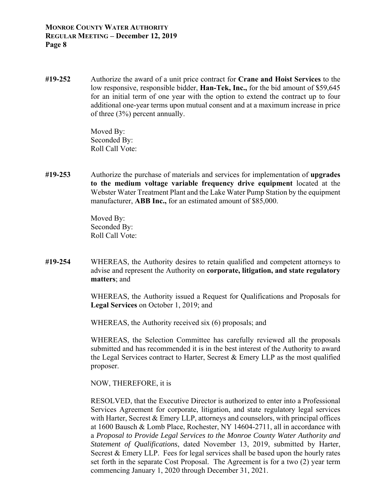**#19-252** Authorize the award of a unit price contract for **Crane and Hoist Services** to the low responsive, responsible bidder, **Han-Tek, Inc.,** for the bid amount of \$59,645 for an initial term of one year with the option to extend the contract up to four additional one-year terms upon mutual consent and at a maximum increase in price of three (3%) percent annually.

> Moved By: Seconded By: Roll Call Vote:

**#19-253** Authorize the purchase of materials and services for implementation of **upgrades to the medium voltage variable frequency drive equipment** located at the Webster Water Treatment Plant and the Lake Water Pump Station by the equipment manufacturer, **ABB Inc.,** for an estimated amount of \$85,000.

> Moved By: Seconded By: Roll Call Vote:

**#19-254** WHEREAS, the Authority desires to retain qualified and competent attorneys to advise and represent the Authority on **corporate, litigation, and state regulatory matters**; and

> WHEREAS, the Authority issued a Request for Qualifications and Proposals for **Legal Services** on October 1, 2019; and

WHEREAS, the Authority received six (6) proposals; and

 WHEREAS, the Selection Committee has carefully reviewed all the proposals submitted and has recommended it is in the best interest of the Authority to award the Legal Services contract to Harter, Secrest  $\&$  Emery LLP as the most qualified proposer.

NOW, THEREFORE, it is

 RESOLVED, that the Executive Director is authorized to enter into a Professional Services Agreement for corporate, litigation, and state regulatory legal services with Harter, Secrest & Emery LLP, attorneys and counselors, with principal offices at 1600 Bausch & Lomb Place, Rochester, NY 14604-2711, all in accordance with a *Proposal to Provide Legal Services to the Monroe County Water Authority and Statement of Qualifications*, dated November 13, 2019, submitted by Harter, Secrest & Emery LLP. Fees for legal services shall be based upon the hourly rates set forth in the separate Cost Proposal. The Agreement is for a two (2) year term commencing January 1, 2020 through December 31, 2021.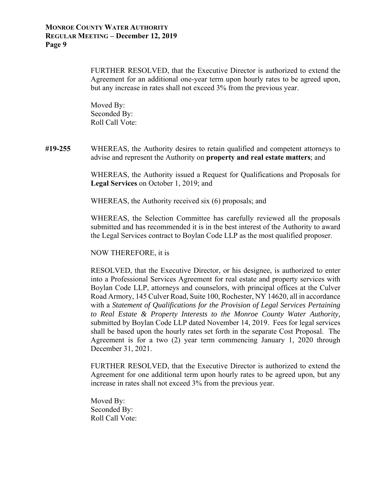FURTHER RESOLVED, that the Executive Director is authorized to extend the Agreement for an additional one-year term upon hourly rates to be agreed upon, but any increase in rates shall not exceed 3% from the previous year.

 Moved By: Seconded By: Roll Call Vote:

**#19-255** WHEREAS, the Authority desires to retain qualified and competent attorneys to advise and represent the Authority on **property and real estate matters**; and

> WHEREAS, the Authority issued a Request for Qualifications and Proposals for **Legal Services** on October 1, 2019; and

WHEREAS, the Authority received six (6) proposals; and

 WHEREAS, the Selection Committee has carefully reviewed all the proposals submitted and has recommended it is in the best interest of the Authority to award the Legal Services contract to Boylan Code LLP as the most qualified proposer.

NOW THEREFORE, it is

 RESOLVED, that the Executive Director, or his designee, is authorized to enter into a Professional Services Agreement for real estate and property services with Boylan Code LLP, attorneys and counselors, with principal offices at the Culver Road Armory, 145 Culver Road, Suite 100, Rochester, NY 14620, all in accordance with a *Statement of Qualifications for the Provision of Legal Services Pertaining to Real Estate & Property Interests to the Monroe County Water Authority,* submitted by Boylan Code LLP dated November 14, 2019. Fees for legal services shall be based upon the hourly rates set forth in the separate Cost Proposal. The Agreement is for a two (2) year term commencing January 1, 2020 through December 31, 2021.

 FURTHER RESOLVED, that the Executive Director is authorized to extend the Agreement for one additional term upon hourly rates to be agreed upon, but any increase in rates shall not exceed 3% from the previous year.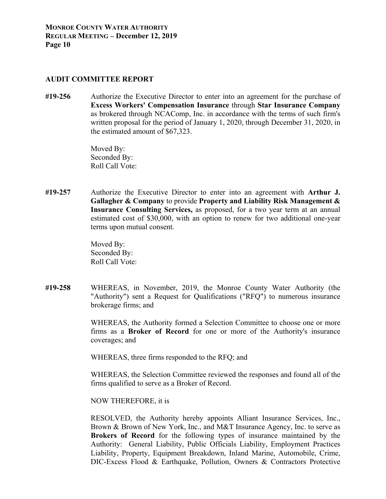#### **AUDIT COMMITTEE REPORT**

**#19-256** Authorize the Executive Director to enter into an agreement for the purchase of **Excess Workers' Compensation Insurance** through **Star Insurance Company**  as brokered through NCAComp, Inc. in accordance with the terms of such firm's written proposal for the period of January 1, 2020, through December 31, 2020, in the estimated amount of \$67,323.

> Moved By: Seconded By: Roll Call Vote:

**#19-257** Authorize the Executive Director to enter into an agreement with **Arthur J. Gallagher & Company** to provide **Property and Liability Risk Management & Insurance Consulting Services,** as proposed, for a two year term at an annual estimated cost of \$30,000, with an option to renew for two additional one-year terms upon mutual consent.

> Moved By: Seconded By: Roll Call Vote:

**#19-258** WHEREAS, in November, 2019, the Monroe County Water Authority (the "Authority") sent a Request for Qualifications ("RFQ") to numerous insurance brokerage firms; and

> WHEREAS, the Authority formed a Selection Committee to choose one or more firms as a **Broker of Record** for one or more of the Authority's insurance coverages; and

WHEREAS, three firms responded to the RFQ; and

 WHEREAS, the Selection Committee reviewed the responses and found all of the firms qualified to serve as a Broker of Record.

NOW THEREFORE, it is

 RESOLVED, the Authority hereby appoints Alliant Insurance Services, Inc., Brown & Brown of New York, Inc., and M&T Insurance Agency, Inc. to serve as **Brokers of Record** for the following types of insurance maintained by the Authority: General Liability, Public Officials Liability, Employment Practices Liability, Property, Equipment Breakdown, Inland Marine, Automobile, Crime, DIC-Excess Flood & Earthquake, Pollution, Owners & Contractors Protective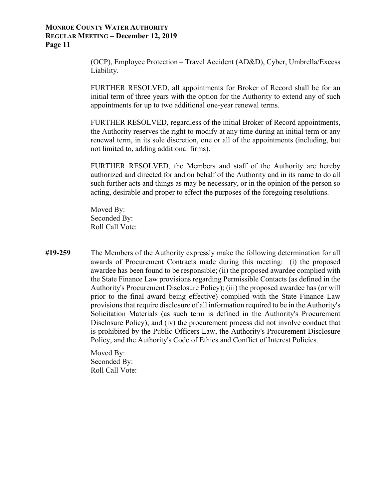(OCP), Employee Protection – Travel Accident (AD&D), Cyber, Umbrella/Excess Liability.

 FURTHER RESOLVED, all appointments for Broker of Record shall be for an initial term of three years with the option for the Authority to extend any of such appointments for up to two additional one-year renewal terms.

 FURTHER RESOLVED, regardless of the initial Broker of Record appointments, the Authority reserves the right to modify at any time during an initial term or any renewal term, in its sole discretion, one or all of the appointments (including, but not limited to, adding additional firms).

 FURTHER RESOLVED, the Members and staff of the Authority are hereby authorized and directed for and on behalf of the Authority and in its name to do all such further acts and things as may be necessary, or in the opinion of the person so acting, desirable and proper to effect the purposes of the foregoing resolutions.

 Moved By: Seconded By: Roll Call Vote:

**#19-259** The Members of the Authority expressly make the following determination for all awards of Procurement Contracts made during this meeting: (i) the proposed awardee has been found to be responsible; (ii) the proposed awardee complied with the State Finance Law provisions regarding Permissible Contacts (as defined in the Authority's Procurement Disclosure Policy); (iii) the proposed awardee has (or will prior to the final award being effective) complied with the State Finance Law provisions that require disclosure of all information required to be in the Authority's Solicitation Materials (as such term is defined in the Authority's Procurement Disclosure Policy); and (iv) the procurement process did not involve conduct that is prohibited by the Public Officers Law, the Authority's Procurement Disclosure Policy, and the Authority's Code of Ethics and Conflict of Interest Policies.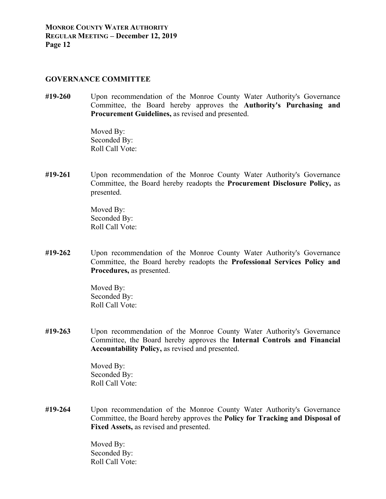#### **GOVERNANCE COMMITTEE**

**#19-260** Upon recommendation of the Monroe County Water Authority's Governance Committee, the Board hereby approves the **Authority's Purchasing and Procurement Guidelines,** as revised and presented.

> Moved By: Seconded By: Roll Call Vote:

**#19-261** Upon recommendation of the Monroe County Water Authority's Governance Committee, the Board hereby readopts the **Procurement Disclosure Policy,** as presented.

> Moved By: Seconded By: Roll Call Vote:

**#19-262** Upon recommendation of the Monroe County Water Authority's Governance Committee, the Board hereby readopts the **Professional Services Policy and Procedures,** as presented.

> Moved By: Seconded By: Roll Call Vote:

**#19-263** Upon recommendation of the Monroe County Water Authority's Governance Committee, the Board hereby approves the **Internal Controls and Financial Accountability Policy,** as revised and presented.

> Moved By: Seconded By: Roll Call Vote:

**#19-264** Upon recommendation of the Monroe County Water Authority's Governance Committee, the Board hereby approves the **Policy for Tracking and Disposal of Fixed Assets,** as revised and presented.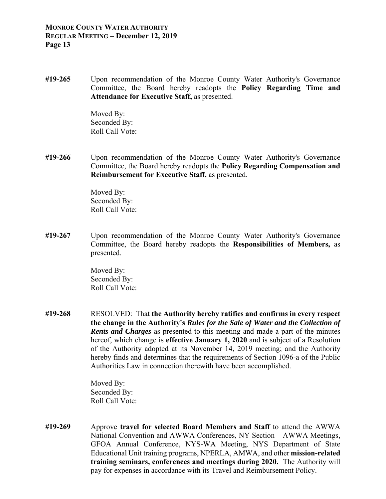**#19-265** Upon recommendation of the Monroe County Water Authority's Governance Committee, the Board hereby readopts the **Policy Regarding Time and Attendance for Executive Staff,** as presented.

> Moved By: Seconded By: Roll Call Vote:

**#19-266** Upon recommendation of the Monroe County Water Authority's Governance Committee, the Board hereby readopts the **Policy Regarding Compensation and Reimbursement for Executive Staff,** as presented.

> Moved By: Seconded By: Roll Call Vote:

**#19-267** Upon recommendation of the Monroe County Water Authority's Governance Committee, the Board hereby readopts the **Responsibilities of Members,** as presented.

> Moved By: Seconded By: Roll Call Vote:

**#19-268** RESOLVED: That **the Authority hereby ratifies and confirms in every respect the change in the Authority's** *Rules for the Sale of Water and the Collection of Rents and Charges* as presented to this meeting and made a part of the minutes hereof, which change is **effective January 1, 2020** and is subject of a Resolution of the Authority adopted at its November 14, 2019 meeting; and the Authority hereby finds and determines that the requirements of Section 1096-a of the Public Authorities Law in connection therewith have been accomplished.

> Moved By: Seconded By: Roll Call Vote:

**#19-269** Approve **travel for selected Board Members and Staff** to attend the AWWA National Convention and AWWA Conferences, NY Section – AWWA Meetings, GFOA Annual Conference, NYS-WA Meeting, NYS Department of State Educational Unit training programs, NPERLA, AMWA, and other **mission-related training seminars, conferences and meetings during 2020.** The Authority will pay for expenses in accordance with its Travel and Reimbursement Policy.